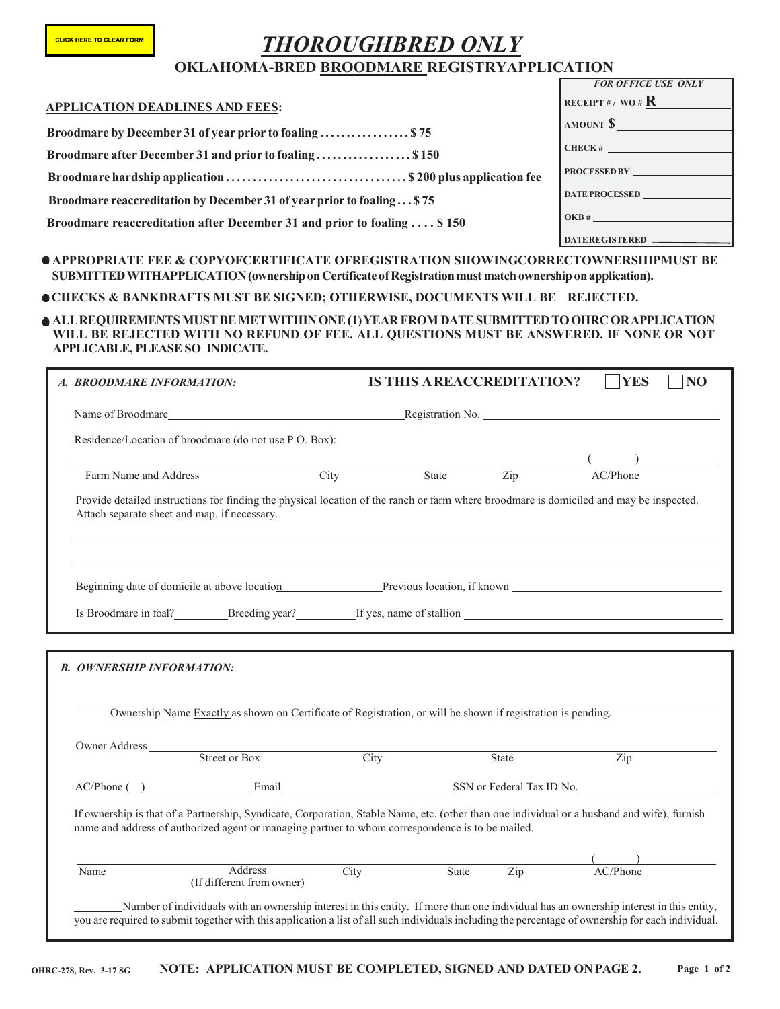## *THOROUGHBRED ONLY* **OKLAHOMA-BRED BROODMARE REGISTRYAPPLICATION**

|                                                                                             | <b>FOR OFFICE USE ONLY</b> |
|---------------------------------------------------------------------------------------------|----------------------------|
| <b>APPLICATION DEADLINES AND FEES:</b>                                                      | RECEIPT#/WO# $\bf R$       |
| Broodmare by December 31 of year prior to foaling \$75                                      | AMOUNT \$                  |
| Broodmare after December 31 and prior to foaling\$150                                       | CHECK#                     |
|                                                                                             | <b>PROCESSED BY</b>        |
| Broodmare reaccreditation by December 31 of year prior to foaling \$75                      | <b>DATE PROCESSED</b>      |
| Broodmare reaccreditation after December 31 and prior to foaling  \$150                     | OKB#                       |
|                                                                                             | <b>DATEREGISTERED _</b>    |
| A A DDDADDI A TE EEE LA CADVAECEDTIEIC ATE AEDECISTD A TIAN SUAWINC CADDECTAWNEDSUIDMIST DE |                            |

**APPROPRIATE FEE & COPYOFCERTIFICATE OFREGISTRATION SHOWINGCORRECTOWNERSHIPMUST BE SUBMITTEDWITHAPPLICATION(ownershiponCertificateofRegistrationmust match ownershiponapplication).** 

**CHECKS & BANKDRAFTS MUST BE SIGNED; OTHERWISE, DOCUMENTS WILL BE REJECTED.**

**ALLREQUIREMENTSMUSTBEMETWITHINONE(1)YEAR FROM DATESUBMITTEDTOOHRCORAPPLICATION WILL BE REJECTED WITH NO REFUND OF FEE. ALL QUESTIONS MUST BE ANSWERED. IF NONE OR NOT APPLICABLE, PLEASE SO INDICATE.**

| A. BROODMARE INFORMATION:                    |                                                                                                                                                                                                                                                 |      | <b>IS THIS AREACCREDITATION?</b> |       | <b>YES</b>                  | N <sub>O</sub> |
|----------------------------------------------|-------------------------------------------------------------------------------------------------------------------------------------------------------------------------------------------------------------------------------------------------|------|----------------------------------|-------|-----------------------------|----------------|
|                                              |                                                                                                                                                                                                                                                 |      |                                  |       |                             |                |
|                                              | Residence/Location of broodmare (do not use P.O. Box):                                                                                                                                                                                          |      |                                  |       |                             |                |
| Farm Name and Address                        |                                                                                                                                                                                                                                                 | City | State                            | Zip   | AC/Phone                    |                |
| Attach separate sheet and map, if necessary. | Provide detailed instructions for finding the physical location of the ranch or farm where broodmare is domiciled and may be inspected.                                                                                                         |      |                                  |       |                             |                |
|                                              | Beginning date of domicile at above location example Previous location, if known                                                                                                                                                                |      |                                  |       |                             |                |
|                                              |                                                                                                                                                                                                                                                 |      |                                  |       |                             |                |
|                                              |                                                                                                                                                                                                                                                 |      |                                  |       |                             |                |
|                                              | Ownership Name Exactly as shown on Certificate of Registration, or will be shown if registration is pending.                                                                                                                                    |      |                                  |       |                             |                |
| <b>B. OWNERSHIP INFORMATION:</b>             |                                                                                                                                                                                                                                                 |      |                                  |       |                             |                |
|                                              | Owner Address Street or Box City<br>AC/Phone () Email Email SSN or Federal Tax ID No.                                                                                                                                                           |      |                                  | State | Zip                         |                |
|                                              | If ownership is that of a Partnership, Syndicate, Corporation, Stable Name, etc. (other than one individual or a husband and wife), furnish<br>name and address of authorized agent or managing partner to whom correspondence is to be mailed. |      | State Zip                        |       | $\frac{1}{\text{AC/Phone}}$ |                |